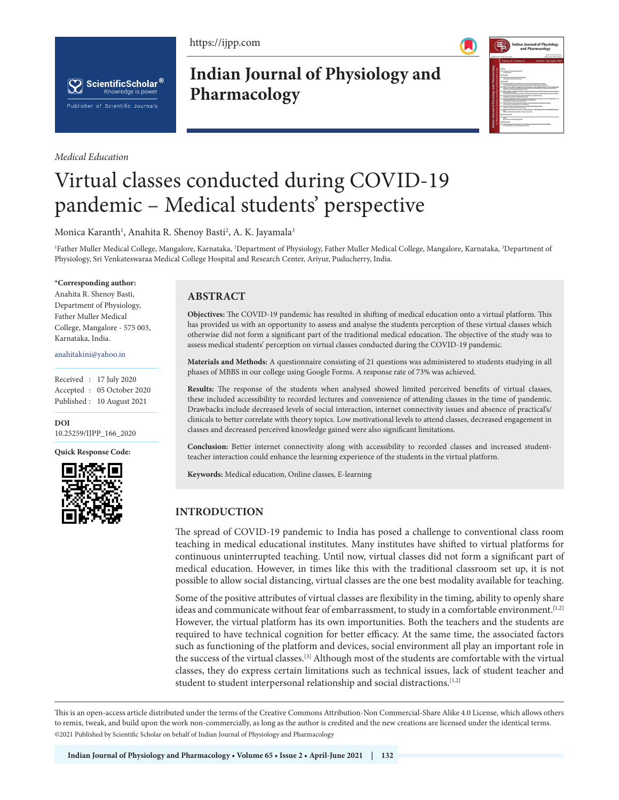https://ijpp.com





*Medical Education*

**Indian Journal of Physiology and Pharmacology**



# Virtual classes conducted during COVID-19 pandemic – Medical students' perspective

Monica Karanth<sup>1</sup>, Anahita R. Shenoy Basti<sup>2</sup>, A. K. Jayamala<sup>3</sup>

<sup>1</sup>Father Muller Medical College, Mangalore, Karnataka, <sup>2</sup>Department of Physiology, Father Muller Medical College, Mangalore, Karnataka, <sup>3</sup>Department of Physiology, Sri Venkateswaraa Medical College Hospital and Research Center, Ariyur, Puducherry, India.

#### **\*Corresponding author:**

Anahita R. Shenoy Basti, Department of Physiology, Father Muller Medical College, Mangalore - 575 003, Karnataka, India.

#### anahitakini@yahoo.in

Received : 17 July 2020 Accepted : 05 October 2020 Published : 10 August 2021

**DOI** 10.25259/IJPP\_166\_2020

**Quick Response Code:**



### **ABSTRACT**

**Objectives:** The COVID-19 pandemic has resulted in shifting of medical education onto a virtual platform. This has provided us with an opportunity to assess and analyse the students perception of these virtual classes which otherwise did not form a significant part of the traditional medical education. The objective of the study was to assess medical students' perception on virtual classes conducted during the COVID-19 pandemic.

**Materials and Methods:** A questionnaire consisting of 21 questions was administered to students studying in all phases of MBBS in our college using Google Forms. A response rate of 73% was achieved.

**Results:** The response of the students when analysed showed limited perceived benefits of virtual classes, these included accessibility to recorded lectures and convenience of attending classes in the time of pandemic. Drawbacks include decreased levels of social interaction, internet connectivity issues and absence of practical's/ clinicals to better correlate with theory topics. Low motivational levels to attend classes, decreased engagement in classes and decreased perceived knowledge gained were also significant limitations.

**Conclusion:** Better internet connectivity along with accessibility to recorded classes and increased studentteacher interaction could enhance the learning experience of the students in the virtual platform.

**Keywords:** Medical education, Online classes, E-learning

## **INTRODUCTION**

The spread of COVID-19 pandemic to India has posed a challenge to conventional class room teaching in medical educational institutes. Many institutes have shifted to virtual platforms for continuous uninterrupted teaching. Until now, virtual classes did not form a significant part of medical education. However, in times like this with the traditional classroom set up, it is not possible to allow social distancing, virtual classes are the one best modality available for teaching.

Some of the positive attributes of virtual classes are flexibility in the timing, ability to openly share ideas and communicate without fear of embarrassment, to study in a comfortable environment.**[**1,2] However, the virtual platform has its own importunities. Both the teachers and the students are required to have technical cognition for better efficacy. At the same time, the associated factors such as functioning of the platform and devices, social environment all play an important role in the success of the virtual classes.[3] Although most of the students are comfortable with the virtual classes, they do express certain limitations such as technical issues, lack of student teacher and student to student interpersonal relationship and social distractions.<sup>[1,2]</sup>

This is an open-access article distributed under the terms of the Creative Commons Attribution-Non Commercial-Share Alike 4.0 License, which allows others to remix, tweak, and build upon the work non-commercially, as long as the author is credited and the new creations are licensed under the identical terms. ©2021 Published by Scientific Scholar on behalf of Indian Journal of Physiology and Pharmacology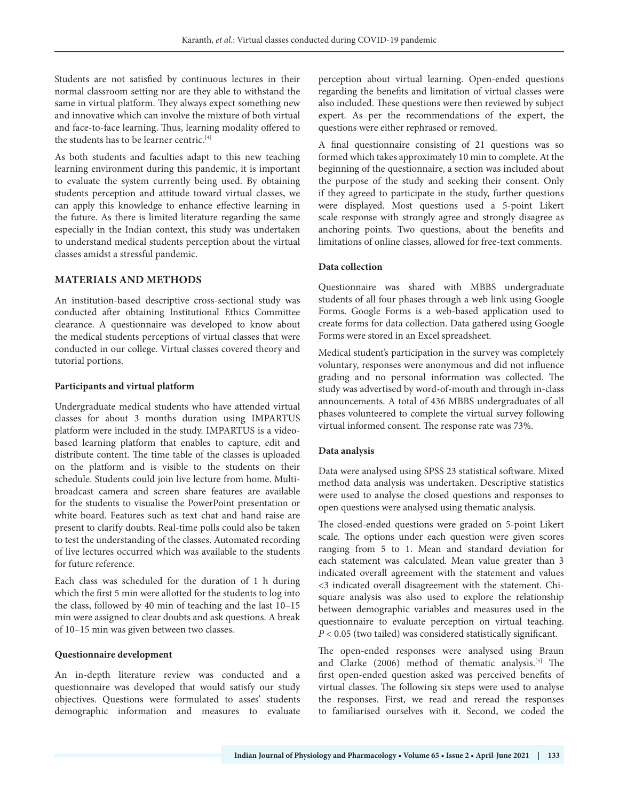Students are not satisfied by continuous lectures in their normal classroom setting nor are they able to withstand the same in virtual platform. They always expect something new and innovative which can involve the mixture of both virtual and face-to-face learning. Thus, learning modality offered to the students has to be learner centric.<sup>[4]</sup>

As both students and faculties adapt to this new teaching learning environment during this pandemic, it is important to evaluate the system currently being used. By obtaining students perception and attitude toward virtual classes, we can apply this knowledge to enhance effective learning in the future. As there is limited literature regarding the same especially in the Indian context, this study was undertaken to understand medical students perception about the virtual classes amidst a stressful pandemic.

#### **MATERIALS AND METHODS**

An institution-based descriptive cross-sectional study was conducted after obtaining Institutional Ethics Committee clearance. A questionnaire was developed to know about the medical students perceptions of virtual classes that were conducted in our college. Virtual classes covered theory and tutorial portions.

#### **Participants and virtual platform**

Undergraduate medical students who have attended virtual classes for about 3 months duration using IMPARTUS platform were included in the study. IMPARTUS is a videobased learning platform that enables to capture, edit and distribute content. The time table of the classes is uploaded on the platform and is visible to the students on their schedule. Students could join live lecture from home. Multibroadcast camera and screen share features are available for the students to visualise the PowerPoint presentation or white board. Features such as text chat and hand raise are present to clarify doubts. Real-time polls could also be taken to test the understanding of the classes. Automated recording of live lectures occurred which was available to the students for future reference.

Each class was scheduled for the duration of 1 h during which the first 5 min were allotted for the students to log into the class, followed by 40 min of teaching and the last 10–15 min were assigned to clear doubts and ask questions. A break of 10–15 min was given between two classes.

#### **Questionnaire development**

An in-depth literature review was conducted and a questionnaire was developed that would satisfy our study objectives. Questions were formulated to asses' students demographic information and measures to evaluate perception about virtual learning. Open-ended questions regarding the benefits and limitation of virtual classes were also included. These questions were then reviewed by subject expert. As per the recommendations of the expert, the questions were either rephrased or removed.

A final questionnaire consisting of 21 questions was so formed which takes approximately 10 min to complete. At the beginning of the questionnaire, a section was included about the purpose of the study and seeking their consent. Only if they agreed to participate in the study, further questions were displayed. Most questions used a 5-point Likert scale response with strongly agree and strongly disagree as anchoring points. Two questions, about the benefits and limitations of online classes, allowed for free-text comments.

#### **Data collection**

Questionnaire was shared with MBBS undergraduate students of all four phases through a web link using Google Forms. Google Forms is a web-based application used to create forms for data collection. Data gathered using Google Forms were stored in an Excel spreadsheet.

Medical student's participation in the survey was completely voluntary, responses were anonymous and did not influence grading and no personal information was collected. The study was advertised by word-of-mouth and through in-class announcements. A total of 436 MBBS undergraduates of all phases volunteered to complete the virtual survey following virtual informed consent. The response rate was 73%.

### **Data analysis**

Data were analysed using SPSS 23 statistical software. Mixed method data analysis was undertaken. Descriptive statistics were used to analyse the closed questions and responses to open questions were analysed using thematic analysis.

The closed-ended questions were graded on 5-point Likert scale. The options under each question were given scores ranging from 5 to 1. Mean and standard deviation for each statement was calculated. Mean value greater than 3 indicated overall agreement with the statement and values <3 indicated overall disagreement with the statement. Chisquare analysis was also used to explore the relationship between demographic variables and measures used in the questionnaire to evaluate perception on virtual teaching. *P* < 0.05 (two tailed) was considered statistically significant.

The open-ended responses were analysed using Braun and Clarke (2006) method of thematic analysis.[5] The first open-ended question asked was perceived benefits of virtual classes. The following six steps were used to analyse the responses. First, we read and reread the responses to familiarised ourselves with it. Second, we coded the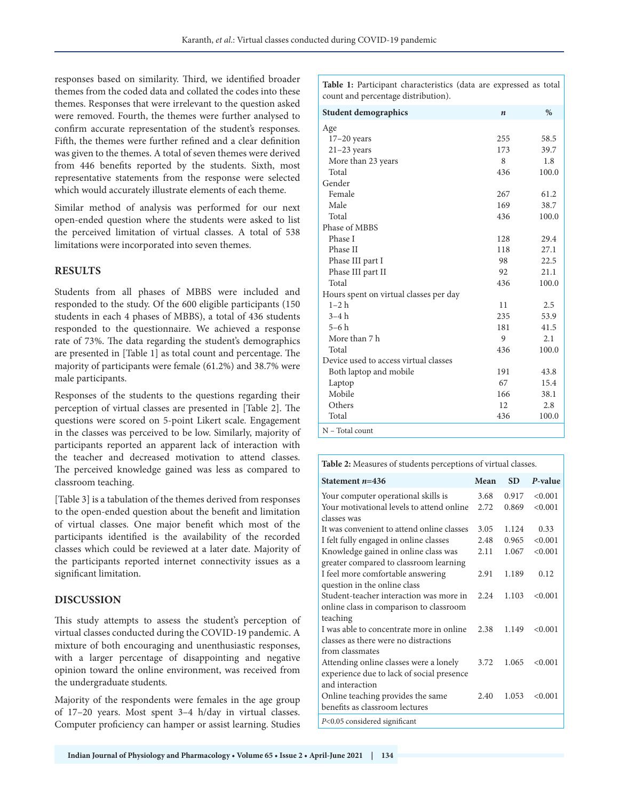responses based on similarity. Third, we identified broader themes from the coded data and collated the codes into these themes. Responses that were irrelevant to the question asked were removed. Fourth, the themes were further analysed to confirm accurate representation of the student's responses. Fifth, the themes were further refined and a clear definition was given to the themes. A total of seven themes were derived from 446 benefits reported by the students. Sixth, most representative statements from the response were selected which would accurately illustrate elements of each theme.

Similar method of analysis was performed for our next open-ended question where the students were asked to list the perceived limitation of virtual classes. A total of 538 limitations were incorporated into seven themes.

### **RESULTS**

Students from all phases of MBBS were included and responded to the study. Of the 600 eligible participants (150 students in each 4 phases of MBBS), a total of 436 students responded to the questionnaire. We achieved a response rate of 73%. The data regarding the student's demographics are presented in [Table 1] as total count and percentage. The majority of participants were female (61.2%) and 38.7% were male participants.

Responses of the students to the questions regarding their perception of virtual classes are presented in [Table 2]. The questions were scored on 5-point Likert scale. Engagement in the classes was perceived to be low. Similarly, majority of participants reported an apparent lack of interaction with the teacher and decreased motivation to attend classes. The perceived knowledge gained was less as compared to classroom teaching.

[Table 3] is a tabulation of the themes derived from responses to the open-ended question about the benefit and limitation of virtual classes. One major benefit which most of the participants identified is the availability of the recorded classes which could be reviewed at a later date. Majority of the participants reported internet connectivity issues as a significant limitation.

## **DISCUSSION**

This study attempts to assess the student's perception of virtual classes conducted during the COVID-19 pandemic. A mixture of both encouraging and unenthusiastic responses, with a larger percentage of disappointing and negative opinion toward the online environment, was received from the undergraduate students.

Majority of the respondents were females in the age group of 17–20 years. Most spent 3–4 h/day in virtual classes. Computer proficiency can hamper or assist learning. Studies **Table 1:** Participant characteristics (data are expressed as total count and percentage distribution).

| <b>Student demographics</b>            | $\boldsymbol{n}$ | $\%$  |
|----------------------------------------|------------------|-------|
| Age                                    |                  |       |
| $17-20$ years                          | 255              | 58.5  |
| $21-23$ years                          | 173              | 39.7  |
| More than 23 years                     | 8                | 1.8   |
| Total                                  | 436              | 100.0 |
| Gender                                 |                  |       |
| Female                                 | 267              | 61.2  |
| Male                                   | 169              | 38.7  |
| Total                                  | 436              | 100.0 |
| Phase of MBBS                          |                  |       |
| Phase I                                | 128              | 29.4  |
| Phase II                               | 118              | 27.1  |
| Phase III part I                       | 98               | 22.5  |
| Phase III part II                      | 92               | 21.1  |
| Total                                  | 436              | 100.0 |
| Hours spent on virtual classes per day |                  |       |
| $1 - 2 h$                              | 11               | 2.5   |
| $3-4h$                                 | 235              | 53.9  |
| $5-6h$                                 | 181              | 41.5  |
| More than 7 h                          | 9                | 2.1   |
| Total                                  | 436              | 100.0 |
| Device used to access virtual classes  |                  |       |
| Both laptop and mobile                 | 191              | 43.8  |
| Laptop                                 | 67               | 15.4  |
| Mobile                                 | 166              | 38.1  |
| Others                                 | 12               | 2.8   |
| Total                                  | 436              | 100.0 |
| N - Total count                        |                  |       |

**Table 2:** Measures of students perceptions of virtual classes.

| Statement $n=436$                          | Mean | <b>SD</b> | P-value |
|--------------------------------------------|------|-----------|---------|
| Your computer operational skills is        | 3.68 | 0.917     | < 0.001 |
| Your motivational levels to attend online  | 2.72 | 0.869     | < 0.001 |
| classes was                                |      |           |         |
| It was convenient to attend online classes | 3.05 | 1.124     | 0.33    |
| I felt fully engaged in online classes     | 2.48 | 0.965     | < 0.001 |
| Knowledge gained in online class was       | 2.11 | 1.067     | < 0.001 |
| greater compared to classroom learning     |      |           |         |
| I feel more comfortable answering          | 2.91 | 1.189     | 0.12    |
| question in the online class               |      |           |         |
| Student-teacher interaction was more in    | 2.24 | 1.103     | < 0.001 |
| online class in comparison to classroom    |      |           |         |
| teaching                                   |      |           |         |
| I was able to concentrate more in online   | 2.38 | 1.149     | < 0.001 |
| classes as there were no distractions      |      |           |         |
| from classmates                            |      |           |         |
| Attending online classes were a lonely     | 3.72 | 1.065     | < 0.001 |
| experience due to lack of social presence  |      |           |         |
| and interaction                            |      |           |         |
| Online teaching provides the same          | 2.40 | 1.053     | < 0.001 |
| benefits as classroom lectures             |      |           |         |
| $P<0.05$ considered significant            |      |           |         |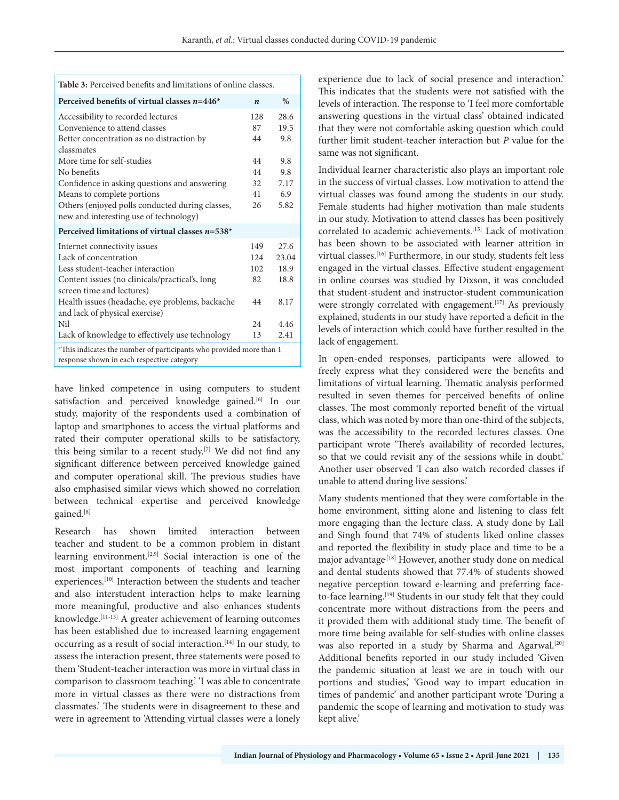| <b>Table 3:</b> Perceived benefits and limitations of online classes.                                                                                                                                                                                                                                                   |                                               |                                                          |  |  |
|-------------------------------------------------------------------------------------------------------------------------------------------------------------------------------------------------------------------------------------------------------------------------------------------------------------------------|-----------------------------------------------|----------------------------------------------------------|--|--|
| Perceived benefits of virtual classes $n=446*$                                                                                                                                                                                                                                                                          | $\boldsymbol{n}$                              | $\%$                                                     |  |  |
| Accessibility to recorded lectures<br>Convenience to attend classes<br>Better concentration as no distraction by<br>classmates<br>More time for self-studies<br>No benefits<br>Confidence in asking questions and answering<br>Means to complete portions<br>Others (enjoyed polls conducted during classes,            | 128<br>87<br>44<br>44<br>44<br>32<br>41<br>26 | 28.6<br>19.5<br>9.8<br>9.8<br>9.8<br>7.17<br>6.9<br>5.82 |  |  |
| new and interesting use of technology)<br>Perceived limitations of virtual classes $n=538*$                                                                                                                                                                                                                             |                                               |                                                          |  |  |
| Internet connectivity issues<br>Lack of concentration<br>Less student-teacher interaction<br>Content issues (no clinicals/practical's, long<br>screen time and lectures)<br>Health issues (headache, eye problems, backache<br>and lack of physical exercise)<br>Nil<br>Lack of knowledge to effectively use technology | 149<br>12.4<br>102<br>82<br>44<br>24<br>13    | 27.6<br>23.04<br>18.9<br>18.8<br>8.17<br>4.46<br>2.41    |  |  |
| *This indicates the number of participants who provided more than 1<br>response shown in each respective category                                                                                                                                                                                                       |                                               |                                                          |  |  |

have linked competence in using computers to student satisfaction and perceived knowledge gained.<sup>[6]</sup> In our study, majority of the respondents used a combination of laptop and smartphones to access the virtual platforms and rated their computer operational skills to be satisfactory, this being similar to a recent study.[7] We did not find any significant difference between perceived knowledge gained and computer operational skill. The previous studies have also emphasised similar views which showed no correlation between technical expertise and perceived knowledge gained.[8]

Research has shown limited interaction between teacher and student to be a common problem in distant learning environment.[2,9] Social interaction is one of the most important components of teaching and learning experiences.[10] Interaction between the students and teacher and also interstudent interaction helps to make learning more meaningful, productive and also enhances students knowledge.[11-13] A greater achievement of learning outcomes has been established due to increased learning engagement occurring as a result of social interaction.[14] In our study, to assess the interaction present, three statements were posed to them 'Student-teacher interaction was more in virtual class in comparison to classroom teaching.' 'I was able to concentrate more in virtual classes as there were no distractions from classmates.' The students were in disagreement to these and were in agreement to 'Attending virtual classes were a lonely

experience due to lack of social presence and interaction.' This indicates that the students were not satisfied with the levels of interaction. The response to 'I feel more comfortable answering questions in the virtual class' obtained indicated that they were not comfortable asking question which could further limit student-teacher interaction but *P* value for the same was not significant.

Individual learner characteristic also plays an important role in the success of virtual classes. Low motivation to attend the virtual classes was found among the students in our study. Female students had higher motivation than male students in our study. Motivation to attend classes has been positively correlated to academic achievements.[15] Lack of motivation has been shown to be associated with learner attrition in virtual classes.[16] Furthermore, in our study, students felt less engaged in the virtual classes. Effective student engagement in online courses was studied by Dixson, it was concluded that student-student and instructor-student communication were strongly correlated with engagement.<sup>[17]</sup> As previously explained, students in our study have reported a deficit in the levels of interaction which could have further resulted in the lack of engagement.

In open-ended responses, participants were allowed to freely express what they considered were the benefits and limitations of virtual learning. Thematic analysis performed resulted in seven themes for perceived benefits of online classes. The most commonly reported benefit of the virtual class, which was noted by more than one-third of the subjects, was the accessibility to the recorded lectures classes. One participant wrote 'There's availability of recorded lectures, so that we could revisit any of the sessions while in doubt.' Another user observed 'I can also watch recorded classes if unable to attend during live sessions.'

Many students mentioned that they were comfortable in the home environment, sitting alone and listening to class felt more engaging than the lecture class. A study done by Lall and Singh found that 74% of students liked online classes and reported the flexibility in study place and time to be a major advantage<sup>[18]</sup> However, another study done on medical and dental students showed that 77.4% of students showed negative perception toward e-learning and preferring faceto-face learning.<sup>[19]</sup> Students in our study felt that they could concentrate more without distractions from the peers and it provided them with additional study time. The benefit of more time being available for self-studies with online classes was also reported in a study by Sharma and Agarwal.<sup>[20]</sup> Additional benefits reported in our study included 'Given the pandemic situation at least we are in touch with our portions and studies,' 'Good way to impart education in times of pandemic' and another participant wrote 'During a pandemic the scope of learning and motivation to study was kept alive.'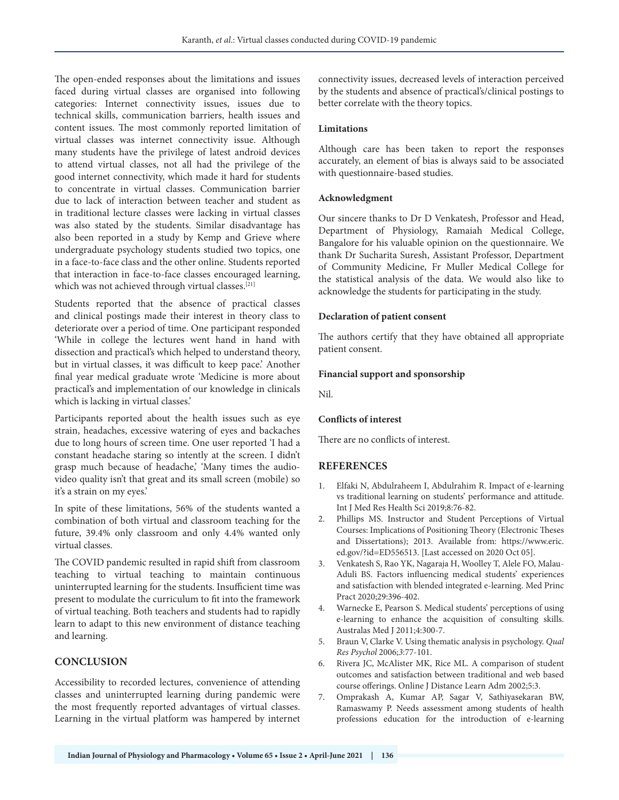The open-ended responses about the limitations and issues faced during virtual classes are organised into following categories: Internet connectivity issues, issues due to technical skills, communication barriers, health issues and content issues. The most commonly reported limitation of virtual classes was internet connectivity issue. Although many students have the privilege of latest android devices to attend virtual classes, not all had the privilege of the good internet connectivity, which made it hard for students to concentrate in virtual classes. Communication barrier due to lack of interaction between teacher and student as in traditional lecture classes were lacking in virtual classes was also stated by the students. Similar disadvantage has also been reported in a study by Kemp and Grieve where undergraduate psychology students studied two topics, one in a face-to-face class and the other online. Students reported that interaction in face-to-face classes encouraged learning, which was not achieved through virtual classes.<sup>[21]</sup>

Students reported that the absence of practical classes and clinical postings made their interest in theory class to deteriorate over a period of time. One participant responded 'While in college the lectures went hand in hand with dissection and practical's which helped to understand theory, but in virtual classes, it was difficult to keep pace.' Another final year medical graduate wrote 'Medicine is more about practical's and implementation of our knowledge in clinicals which is lacking in virtual classes.'

Participants reported about the health issues such as eye strain, headaches, excessive watering of eyes and backaches due to long hours of screen time. One user reported 'I had a constant headache staring so intently at the screen. I didn't grasp much because of headache,' 'Many times the audiovideo quality isn't that great and its small screen (mobile) so it's a strain on my eyes.'

In spite of these limitations, 56% of the students wanted a combination of both virtual and classroom teaching for the future, 39.4% only classroom and only 4.4% wanted only virtual classes.

The COVID pandemic resulted in rapid shift from classroom teaching to virtual teaching to maintain continuous uninterrupted learning for the students. Insufficient time was present to modulate the curriculum to fit into the framework of virtual teaching. Both teachers and students had to rapidly learn to adapt to this new environment of distance teaching and learning.

# **CONCLUSION**

Accessibility to recorded lectures, convenience of attending classes and uninterrupted learning during pandemic were the most frequently reported advantages of virtual classes. Learning in the virtual platform was hampered by internet connectivity issues, decreased levels of interaction perceived by the students and absence of practical's/clinical postings to better correlate with the theory topics.

### **Limitations**

Although care has been taken to report the responses accurately, an element of bias is always said to be associated with questionnaire-based studies.

### **Acknowledgment**

Our sincere thanks to Dr D Venkatesh, Professor and Head, Department of Physiology, Ramaiah Medical College, Bangalore for his valuable opinion on the questionnaire. We thank Dr Sucharita Suresh, Assistant Professor, Department of Community Medicine, Fr Muller Medical College for the statistical analysis of the data. We would also like to acknowledge the students for participating in the study.

### **Declaration of patient consent**

The authors certify that they have obtained all appropriate patient consent.

#### **Financial support and sponsorship**

Nil.

### **Conflicts of interest**

There are no conflicts of interest.

### **REFERENCES**

- 1. Elfaki N, Abdulraheem I, Abdulrahim R. Impact of e-learning vs traditional learning on students' performance and attitude. Int J Med Res Health Sci 2019;8:76-82.
- 2. Phillips MS. Instructor and Student Perceptions of Virtual Courses: Implications of Positioning Theory (Electronic Theses and Dissertations); 2013. Available from: https://www.eric. ed.gov/?id=ED556513. [Last accessed on 2020 Oct 05].
- 3. Venkatesh S, Rao YK, Nagaraja H, Woolley T, Alele FO, Malau-Aduli BS. Factors influencing medical students' experiences and satisfaction with blended integrated e-learning. Med Princ Pract 2020;29:396-402.
- 4. Warnecke E, Pearson S. Medical students' perceptions of using e-learning to enhance the acquisition of consulting skills. Australas Med J 2011;4:300-7.
- 5. Braun V, Clarke V. Using thematic analysis in psychology. *Qual Res Psychol* 2006;*3*:77-101.
- 6. Rivera JC, McAlister MK, Rice ML. A comparison of student outcomes and satisfaction between traditional and web based course offerings. Online J Distance Learn Adm 2002;5:3.
- 7. Omprakash A, Kumar AP, Sagar V, Sathiyasekaran BW, Ramaswamy P. Needs assessment among students of health professions education for the introduction of e-learning